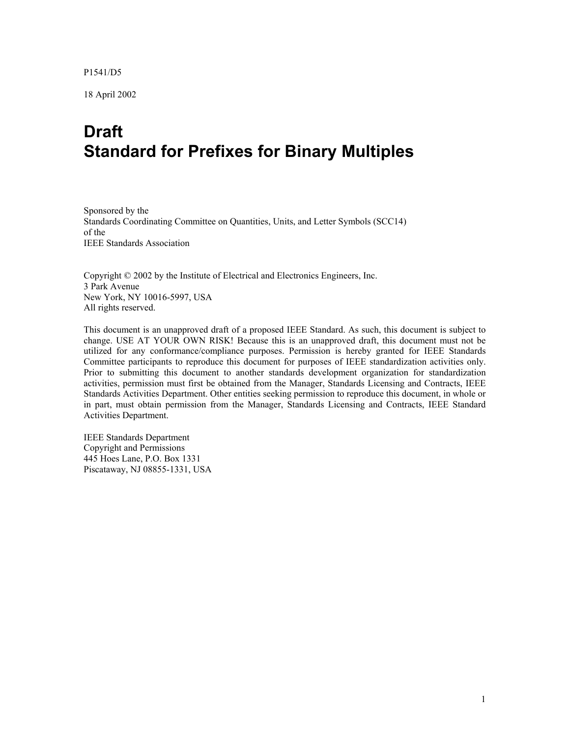P1541/D5

18 April 2002

## **Draft Standard for Prefixes for Binary Multiples**

Sponsored by the Standards Coordinating Committee on Quantities, Units, and Letter Symbols (SCC14) of the IEEE Standards Association

Copyright © 2002 by the Institute of Electrical and Electronics Engineers, Inc. 3 Park Avenue New York, NY 10016-5997, USA All rights reserved.

This document is an unapproved draft of a proposed IEEE Standard. As such, this document is subject to change. USE AT YOUR OWN RISK! Because this is an unapproved draft, this document must not be utilized for any conformance/compliance purposes. Permission is hereby granted for IEEE Standards Committee participants to reproduce this document for purposes of IEEE standardization activities only. Prior to submitting this document to another standards development organization for standardization activities, permission must first be obtained from the Manager, Standards Licensing and Contracts, IEEE Standards Activities Department. Other entities seeking permission to reproduce this document, in whole or in part, must obtain permission from the Manager, Standards Licensing and Contracts, IEEE Standard Activities Department.

IEEE Standards Department Copyright and Permissions 445 Hoes Lane, P.O. Box 1331 Piscataway, NJ 08855-1331, USA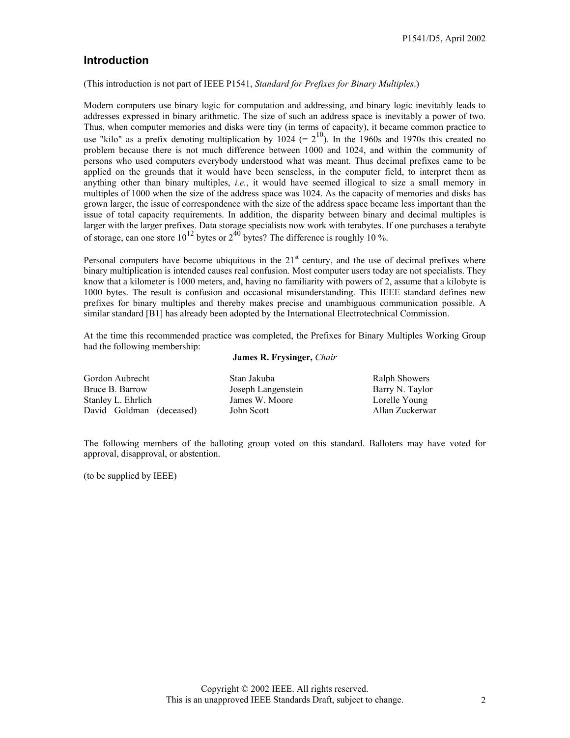## <span id="page-1-0"></span>**Introduction**

(This introduction is not part of IEEE P1541, *Standard for Prefixes for Binary Multiples*.)

Modern computers use binary logic for computation and addressing, and binary logic inevitably leads to addresses expressed in binary arithmetic. The size of such an address space is inevitably a power of two. Thus, when computer memories and disks were tiny (in terms of capacity), it became common practice to use "kilo" as a prefix denoting multiplication by  $1024 (= 2^{10})$ . In the 1960s and 1970s this created no problem because there is not much difference between 1000 and 1024, and within the community of persons who used computers everybody understood what was meant. Thus decimal prefixes came to be applied on the grounds that it would have been senseless, in the computer field, to interpret them as anything other than binary multiples, *i.e.*, it would have seemed illogical to size a small memory in multiples of 1000 when the size of the address space was 1024. As the capacity of memories and disks has grown larger, the issue of correspondence with the size of the address space became less important than the issue of total capacity requirements. In addition, the disparity between binary and decimal multiples is larger with the larger prefixes. Data storage specialists now work with terabytes. If one purchases a terabyte of storage, can one store  $10^{12}$  bytes or  $2^{40}$  bytes? The difference is roughly 10 %.

Personal computers have become ubiquitous in the  $21<sup>st</sup>$  century, and the use of decimal prefixes where binary multiplication is intended causes real confusion. Most computer users today are not specialists. They know that a kilometer is 1000 meters, and, having no familiarity with powers of 2, assume that a kilobyte is 1000 bytes. The result is confusion and occasional misunderstanding. This IEEE standard defines new prefixes for binary multiples and thereby makes precise and unambiguous communication possible. A similar standard [B1] has already been adopted by the International Electrotechnical Commission.

At the time this recommended practice was completed, the Prefixes for Binary Multiples Working Group had the following membership:

#### **James R. Frysinger,** *Chair*

Gordon Aubrecht Bruce B. Barrow Stanley L. Ehrlich David Goldman (deceased) Stan Jakuba Joseph Langenstein James W. Moore John Scott

Ralph Showers Barry N. Taylor Lorelle Young Allan Zuckerwar

The following members of the balloting group voted on this standard. Balloters may have voted for approval, disapproval, or abstention.

(to be supplied by IEEE)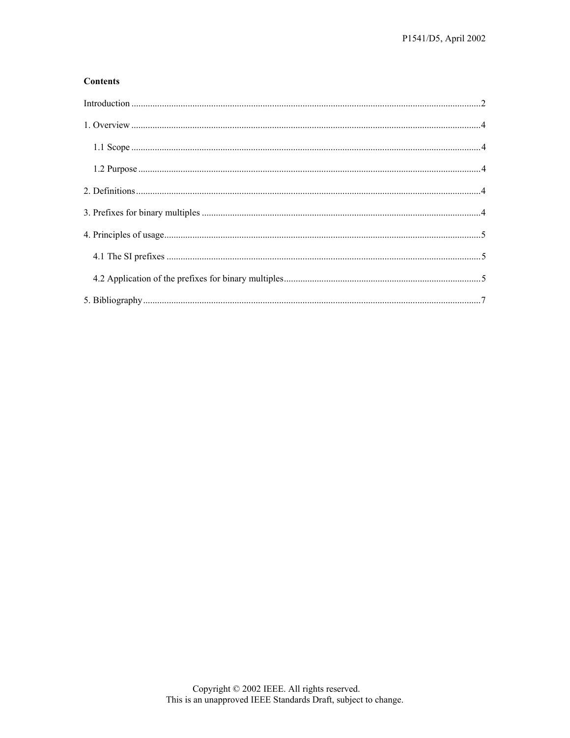#### **Contents**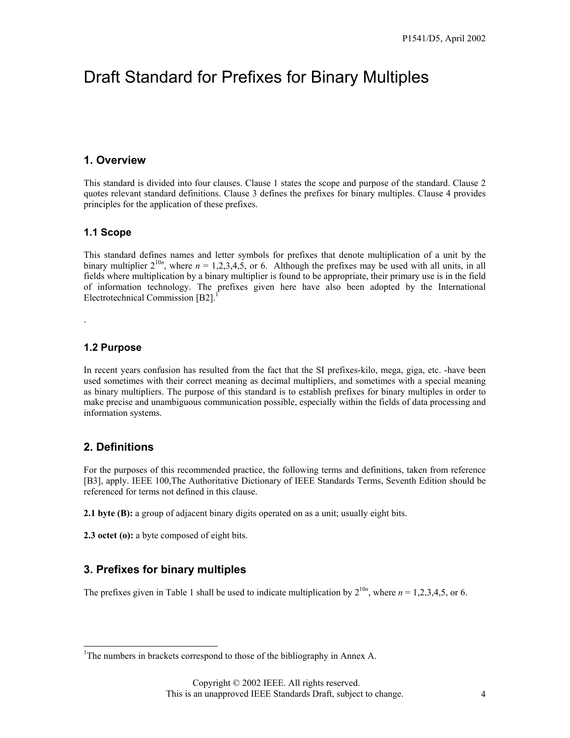## <span id="page-3-0"></span>Draft Standard for Prefixes for Binary Multiples

### **1. Overview**

This standard is divided into four clauses. Clause 1 states the scope and purpose of the standard. Clause 2 quotes relevant standard definitions. Clause 3 defines the prefixes for binary multiples. Clause 4 provides principles for the application of these prefixes.

### **1.1 Scope**

This standard defines names and letter symbols for prefixes that denote multiplication of a unit by the binary multiplier  $2^{10n}$ , where  $n = 1,2,3,4,5$ , or 6. Although the prefixes may be used with all units, in all fields where multiplication by a binary multiplier is found to be appropriate, their primary use is in the field of information technology. The prefixes given here have also been adopted by the International Electrotechnical Commission [B2].<sup>[1](#page-3-1)</sup>

#### **1.2 Purpose**

.

In recent years confusion has resulted from the fact that the SI prefixes-kilo, mega, giga, etc. -have been used sometimes with their correct meaning as decimal multipliers, and sometimes with a special meaning as binary multipliers. The purpose of this standard is to establish prefixes for binary multiples in order to make precise and unambiguous communication possible, especially within the fields of data processing and information systems.

## **2. Definitions**

For the purposes of this recommended practice, the following terms and definitions, taken from reference [B3], apply. IEEE 100,The Authoritative Dictionary of IEEE Standards Terms, Seventh Edition should be referenced for terms not defined in this clause.

**2.1 byte (B):** a group of adjacent binary digits operated on as a unit; usually eight bits.

**2.3 octet (o):** a byte composed of eight bits.

## **3. Prefixes for binary multiples**

The prefixes given in Table 1 shall be used to indicate multiplication by  $2^{10n}$ , where  $n = 1,2,3,4,5$ , or 6.

<span id="page-3-1"></span><sup>-</sup><sup>1</sup>The numbers in brackets correspond to those of the bibliography in Annex A.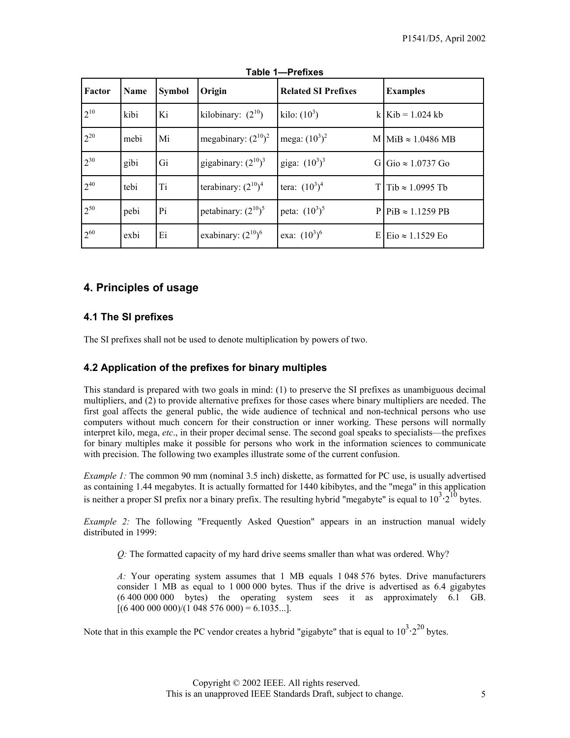<span id="page-4-0"></span>

| Factor   | Name | <b>Symbol</b> | Origin                   | <b>Related SI Prefixes</b> | <b>Examples</b>                        |
|----------|------|---------------|--------------------------|----------------------------|----------------------------------------|
| $2^{10}$ | kibi | Ki            | kilobinary: $(2^{10})$   | kilo: $(10^3)$             | k   Kib = $1.024$ kb                   |
| $2^{20}$ | mebi | Mi            | megabinary: $(2^{10})^2$ | mega: $(10^3)^2$           | $M \sim 1.0486 MB$                     |
| $2^{30}$ | gibi | Gi            | gigabinary: $(2^{10})^3$ | giga: $(10^3)^3$<br>GI     | $\text{Gio} \approx 1.0737 \text{ Go}$ |
| $2^{40}$ | tebi | Ti            | terabinary: $(2^{10})^4$ | tera: $(10^3)^4$           | T Tib $\approx$ 1.0995 Tb              |
| $2^{50}$ | pebi | Pi            | petabinary: $(2^{10})^5$ | peta: $(10^3)^5$           | $P P$ iB $\approx 1.1259$ PB           |
| $2^{60}$ | exbi | Ei            | exabinary: $(2^{10})^6$  | exa: $(10^3)^6$            | E Eio $\approx 1.1529$ Eo              |

**Table 1—Prefixes** 

## **4. Principles of usage**

### **4.1 The SI prefixes**

The SI prefixes shall not be used to denote multiplication by powers of two.

### **4.2 Application of the prefixes for binary multiples**

This standard is prepared with two goals in mind: (1) to preserve the SI prefixes as unambiguous decimal multipliers, and (2) to provide alternative prefixes for those cases where binary multipliers are needed. The first goal affects the general public, the wide audience of technical and non-technical persons who use computers without much concern for their construction or inner working. These persons will normally interpret kilo, mega, *etc*., in their proper decimal sense. The second goal speaks to specialists—the prefixes for binary multiples make it possible for persons who work in the information sciences to communicate with precision. The following two examples illustrate some of the current confusion.

*Example 1:* The common 90 mm (nominal 3.5 inch) diskette, as formatted for PC use, is usually advertised as containing 1.44 megabytes. It is actually formatted for 1440 kibibytes, and the "mega" in this application is neither a proper SI prefix nor a binary prefix. The resulting hybrid "megabyte" is equal to  $10^3 \cdot 2^{10}$  bytes.

*Example 2:* The following "Frequently Asked Question" appears in an instruction manual widely distributed in 1999:

*Q:* The formatted capacity of my hard drive seems smaller than what was ordered. Why?

*A:* Your operating system assumes that 1 MB equals 1 048 576 bytes. Drive manufacturers consider 1 MB as equal to 1 000 000 bytes. Thus if the drive is advertised as 6.4 gigabytes (6 400 000 000 bytes) the operating system sees it as approximately 6.1 GB.  $[(6 400 000 000)/(1 048 576 000) = 6.1035...]$ .

Note that in this example the PC vendor creates a hybrid "gigabyte" that is equal to  $10^{3} \cdot 2^{20}$  bytes.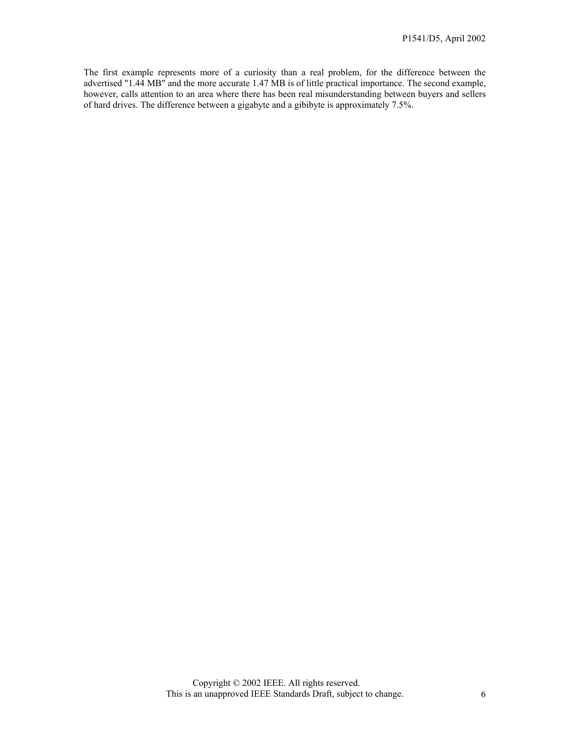The first example represents more of a curiosity than a real problem, for the difference between the advertised "1.44 MB" and the more accurate 1.47 MB is of little practical importance. The second example, however, calls attention to an area where there has been real misunderstanding between buyers and sellers of hard drives. The difference between a gigabyte and a gibibyte is approximately 7.5%.